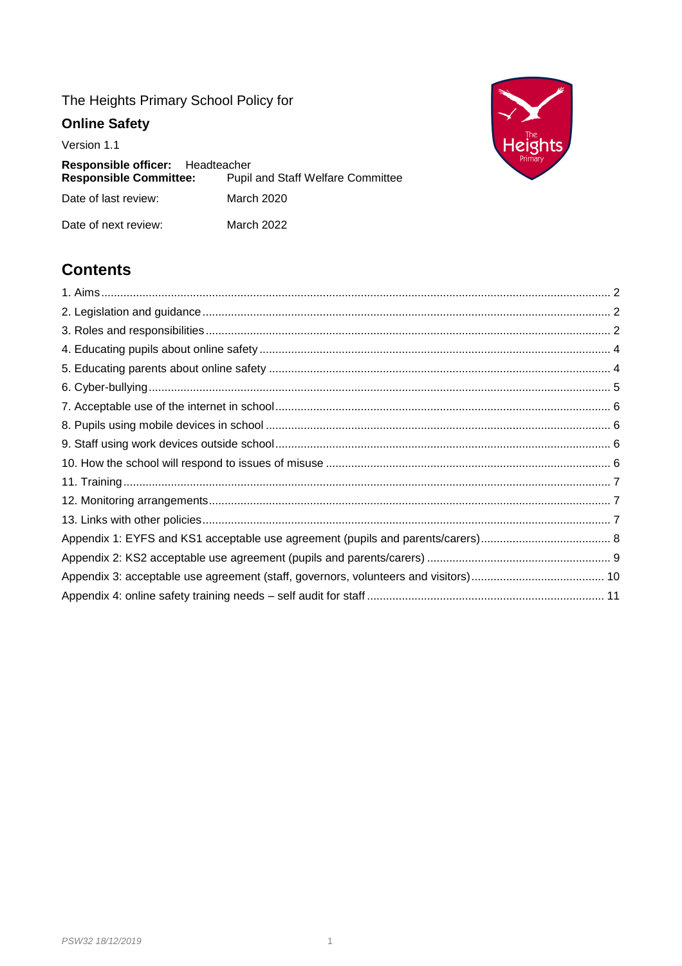# The Heights Primary School Policy for

# **Online Safety**

Version 1.1

| Responsible officer: Headteacher<br><b>Responsible Committee:</b> | <b>Pupil and Staff Welfare Committee</b> |
|-------------------------------------------------------------------|------------------------------------------|
| Date of last review:                                              | March 2020                               |
| Date of next review:                                              | March 2022                               |



# **Contents**

<span id="page-0-0"></span>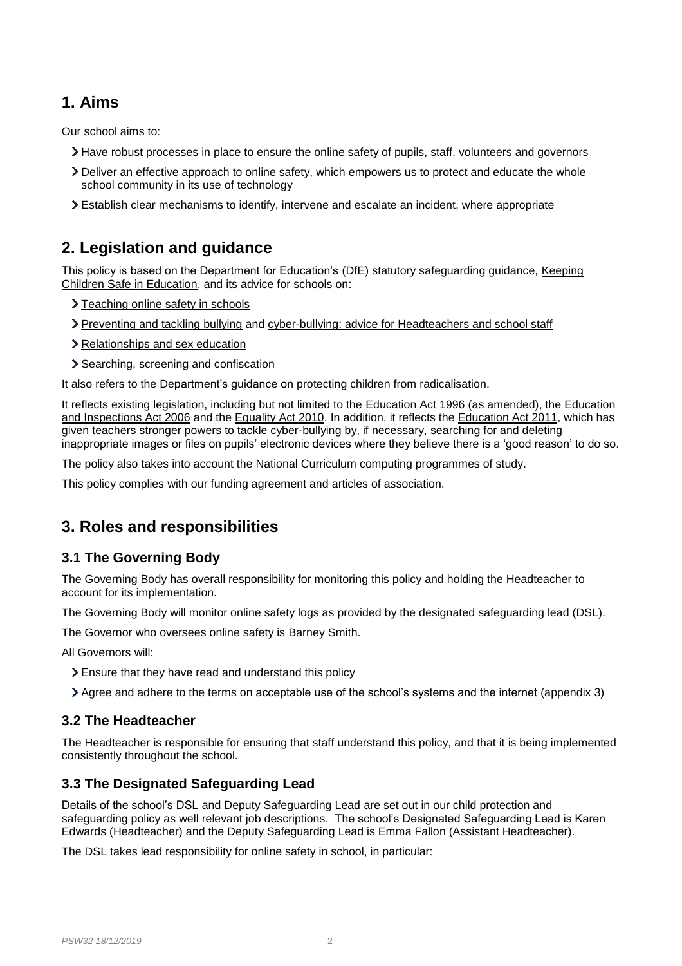## **1. Aims**

Our school aims to:

- Have robust processes in place to ensure the online safety of pupils, staff, volunteers and governors
- Deliver an effective approach to online safety, which empowers us to protect and educate the whole school community in its use of technology
- Establish clear mechanisms to identify, intervene and escalate an incident, where appropriate

## <span id="page-1-0"></span>**2. Legislation and guidance**

This policy is based on the Department for Education's (DfE) statutory safeguarding guidance, [Keeping](https://www.gov.uk/government/publications/keeping-children-safe-in-education--2)  [Children Safe in Education,](https://www.gov.uk/government/publications/keeping-children-safe-in-education--2) and its advice for schools on:

- > [Teaching online safety in schools](https://www.gov.uk/government/publications/teaching-online-safety-in-schools)
- [Preventing and tackling bullying](https://www.gov.uk/government/publications/preventing-and-tackling-bullying) and [cyber-bullying: advice for Headteachers and school staff](https://www.gov.uk/government/publications/preventing-and-tackling-bullying)
- [Relationships and sex education](https://www.gov.uk/government/publications/relationships-education-relationships-and-sex-education-rse-and-health-education)
- > [Searching, screening and confiscation](https://www.gov.uk/government/publications/searching-screening-and-confiscation)

It also refers to the Department's guidance on [protecting children from radicalisation.](https://www.gov.uk/government/publications/protecting-children-from-radicalisation-the-prevent-duty)

It reflects existing legislation, including but not limited to the [Education Act 1996](https://www.legislation.gov.uk/ukpga/1996/56/contents) (as amended), the Education [and Inspections Act 2006](https://www.legislation.gov.uk/ukpga/2006/40/contents) and the [Equality Act 2010.](https://www.legislation.gov.uk/ukpga/2010/15/contents) In addition, it reflects the [Education Act 2011,](http://www.legislation.gov.uk/ukpga/2011/21/contents/enacted) which has given teachers stronger powers to tackle cyber-bullying by, if necessary, searching for and deleting inappropriate images or files on pupils' electronic devices where they believe there is a 'good reason' to do so.

The policy also takes into account the National Curriculum computing programmes of study.

This policy complies with our funding agreement and articles of association.

## <span id="page-1-1"></span>**3. Roles and responsibilities**

### **3.1 The Governing Body**

The Governing Body has overall responsibility for monitoring this policy and holding the Headteacher to account for its implementation.

The Governing Body will monitor online safety logs as provided by the designated safeguarding lead (DSL).

The Governor who oversees online safety is Barney Smith.

All Governors will:

- Ensure that they have read and understand this policy
- Agree and adhere to the terms on acceptable use of the school's systems and the internet (appendix 3)

### **3.2 The Headteacher**

The Headteacher is responsible for ensuring that staff understand this policy, and that it is being implemented consistently throughout the school.

### **3.3 The Designated Safeguarding Lead**

Details of the school's DSL and Deputy Safeguarding Lead are set out in our child protection and safeguarding policy as well relevant job descriptions. The school's Designated Safeguarding Lead is Karen Edwards (Headteacher) and the Deputy Safeguarding Lead is Emma Fallon (Assistant Headteacher).

The DSL takes lead responsibility for online safety in school, in particular: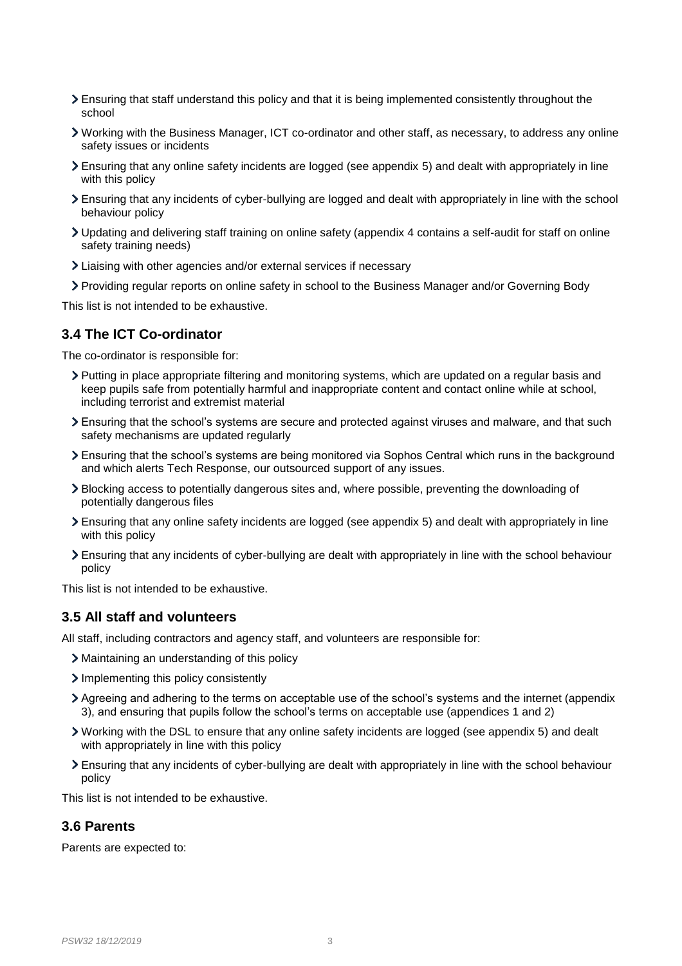- Ensuring that staff understand this policy and that it is being implemented consistently throughout the school
- Working with the Business Manager, ICT co-ordinator and other staff, as necessary, to address any online safety issues or incidents
- Ensuring that any online safety incidents are logged (see appendix 5) and dealt with appropriately in line with this policy
- Ensuring that any incidents of cyber-bullying are logged and dealt with appropriately in line with the school behaviour policy
- Updating and delivering staff training on online safety (appendix 4 contains a self-audit for staff on online safety training needs)
- Liaising with other agencies and/or external services if necessary
- Providing regular reports on online safety in school to the Business Manager and/or Governing Body

This list is not intended to be exhaustive.

#### **3.4 The ICT Co-ordinator**

The co-ordinator is responsible for:

- Putting in place appropriate filtering and monitoring systems, which are updated on a regular basis and keep pupils safe from potentially harmful and inappropriate content and contact online while at school, including terrorist and extremist material
- Ensuring that the school's systems are secure and protected against viruses and malware, and that such safety mechanisms are updated regularly
- Ensuring that the school's systems are being monitored via Sophos Central which runs in the background and which alerts Tech Response, our outsourced support of any issues.
- Blocking access to potentially dangerous sites and, where possible, preventing the downloading of potentially dangerous files
- Ensuring that any online safety incidents are logged (see appendix 5) and dealt with appropriately in line with this policy
- Ensuring that any incidents of cyber-bullying are dealt with appropriately in line with the school behaviour policy

This list is not intended to be exhaustive.

#### **3.5 All staff and volunteers**

All staff, including contractors and agency staff, and volunteers are responsible for:

- Maintaining an understanding of this policy
- Implementing this policy consistently
- Agreeing and adhering to the terms on acceptable use of the school's systems and the internet (appendix 3), and ensuring that pupils follow the school's terms on acceptable use (appendices 1 and 2)
- Working with the DSL to ensure that any online safety incidents are logged (see appendix 5) and dealt with appropriately in line with this policy
- Ensuring that any incidents of cyber-bullying are dealt with appropriately in line with the school behaviour policy

This list is not intended to be exhaustive.

#### **3.6 Parents**

Parents are expected to: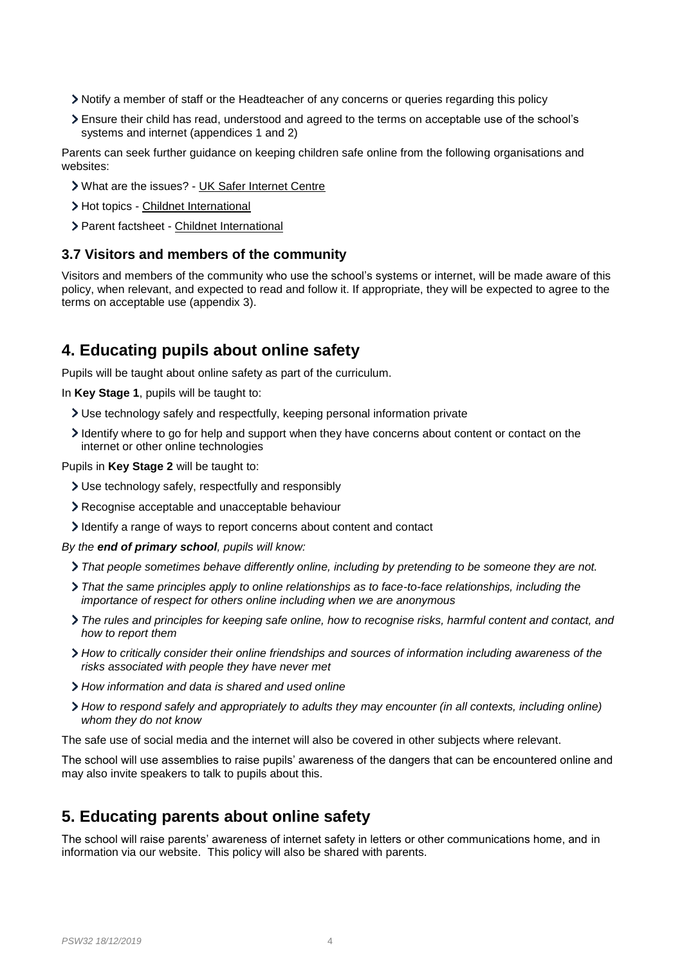- Notify a member of staff or the Headteacher of any concerns or queries regarding this policy
- Ensure their child has read, understood and agreed to the terms on acceptable use of the school's systems and internet (appendices 1 and 2)

Parents can seek further guidance on keeping children safe online from the following organisations and websites:

- What are the issues? [UK Safer Internet Centre](https://www.saferinternet.org.uk/advice-centre/parents-and-carers/what-are-issues)
- > Hot topics [Childnet International](http://www.childnet.com/parents-and-carers/hot-topics)
- Parent factsheet [Childnet International](https://www.childnet.com/resources/parents-and-carers-resource-sheet)

#### **3.7 Visitors and members of the community**

Visitors and members of the community who use the school's systems or internet, will be made aware of this policy, when relevant, and expected to read and follow it. If appropriate, they will be expected to agree to the terms on acceptable use (appendix 3).

## <span id="page-3-0"></span>**4. Educating pupils about online safety**

Pupils will be taught about online safety as part of the curriculum.

In **Key Stage 1**, pupils will be taught to:

- Use technology safely and respectfully, keeping personal information private
- I dentify where to go for help and support when they have concerns about content or contact on the internet or other online technologies

Pupils in **Key Stage 2** will be taught to:

- Use technology safely, respectfully and responsibly
- Recognise acceptable and unacceptable behaviour
- I dentify a range of ways to report concerns about content and contact

*By the end of primary school, pupils will know:*

- *That people sometimes behave differently online, including by pretending to be someone they are not.*
- *That the same principles apply to online relationships as to face-to-face relationships, including the importance of respect for others online including when we are anonymous*
- *The rules and principles for keeping safe online, how to recognise risks, harmful content and contact, and how to report them*
- *How to critically consider their online friendships and sources of information including awareness of the risks associated with people they have never met*
- *How information and data is shared and used online*
- *How to respond safely and appropriately to adults they may encounter (in all contexts, including online) whom they do not know*

The safe use of social media and the internet will also be covered in other subjects where relevant.

The school will use assemblies to raise pupils' awareness of the dangers that can be encountered online and may also invite speakers to talk to pupils about this.

## <span id="page-3-1"></span>**5. Educating parents about online safety**

The school will raise parents' awareness of internet safety in letters or other communications home, and in information via our website. This policy will also be shared with parents.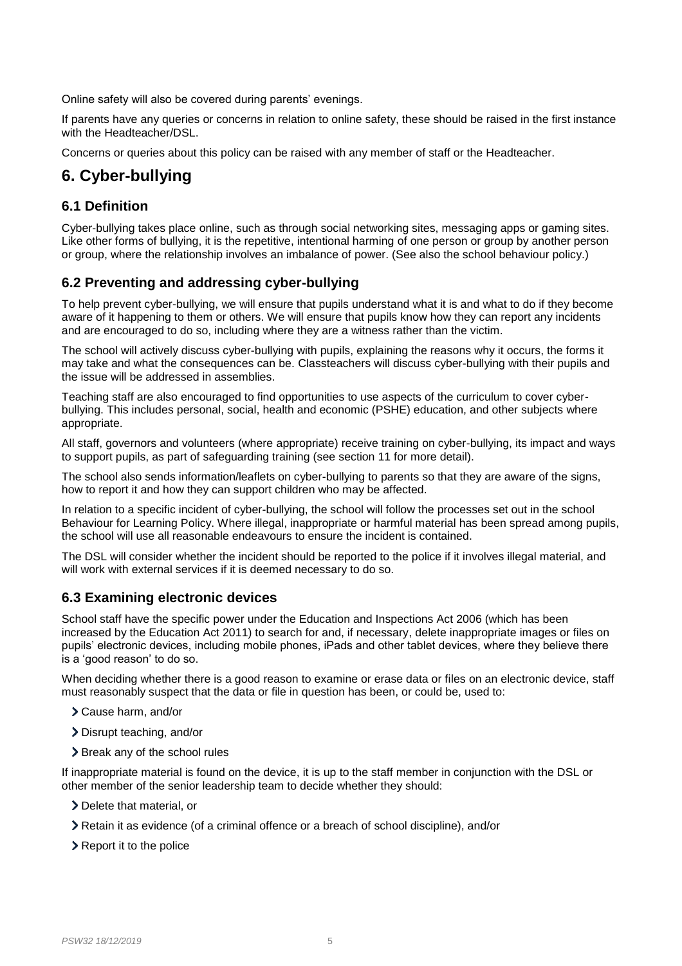Online safety will also be covered during parents' evenings.

If parents have any queries or concerns in relation to online safety, these should be raised in the first instance with the Headteacher/DSL.

Concerns or queries about this policy can be raised with any member of staff or the Headteacher.

# <span id="page-4-0"></span>**6. Cyber-bullying**

### **6.1 Definition**

Cyber-bullying takes place online, such as through social networking sites, messaging apps or gaming sites. Like other forms of bullying, it is the repetitive, intentional harming of one person or group by another person or group, where the relationship involves an imbalance of power. (See also the school behaviour policy.)

### **6.2 Preventing and addressing cyber-bullying**

To help prevent cyber-bullying, we will ensure that pupils understand what it is and what to do if they become aware of it happening to them or others. We will ensure that pupils know how they can report any incidents and are encouraged to do so, including where they are a witness rather than the victim.

The school will actively discuss cyber-bullying with pupils, explaining the reasons why it occurs, the forms it may take and what the consequences can be. Classteachers will discuss cyber-bullying with their pupils and the issue will be addressed in assemblies.

Teaching staff are also encouraged to find opportunities to use aspects of the curriculum to cover cyberbullying. This includes personal, social, health and economic (PSHE) education, and other subjects where appropriate.

All staff, governors and volunteers (where appropriate) receive training on cyber-bullying, its impact and ways to support pupils, as part of safeguarding training (see section 11 for more detail).

The school also sends information/leaflets on cyber-bullying to parents so that they are aware of the signs, how to report it and how they can support children who may be affected.

In relation to a specific incident of cyber-bullying, the school will follow the processes set out in the school Behaviour for Learning Policy. Where illegal, inappropriate or harmful material has been spread among pupils, the school will use all reasonable endeavours to ensure the incident is contained.

The DSL will consider whether the incident should be reported to the police if it involves illegal material, and will work with external services if it is deemed necessary to do so.

## **6.3 Examining electronic devices**

School staff have the specific power under the Education and Inspections Act 2006 (which has been increased by the Education Act 2011) to search for and, if necessary, delete inappropriate images or files on pupils' electronic devices, including mobile phones, iPads and other tablet devices, where they believe there is a 'good reason' to do so.

When deciding whether there is a good reason to examine or erase data or files on an electronic device, staff must reasonably suspect that the data or file in question has been, or could be, used to:

- Cause harm, and/or
- Disrupt teaching, and/or
- > Break any of the school rules

If inappropriate material is found on the device, it is up to the staff member in conjunction with the DSL or other member of the senior leadership team to decide whether they should:

- > Delete that material, or
- Retain it as evidence (of a criminal offence or a breach of school discipline), and/or
- > Report it to the police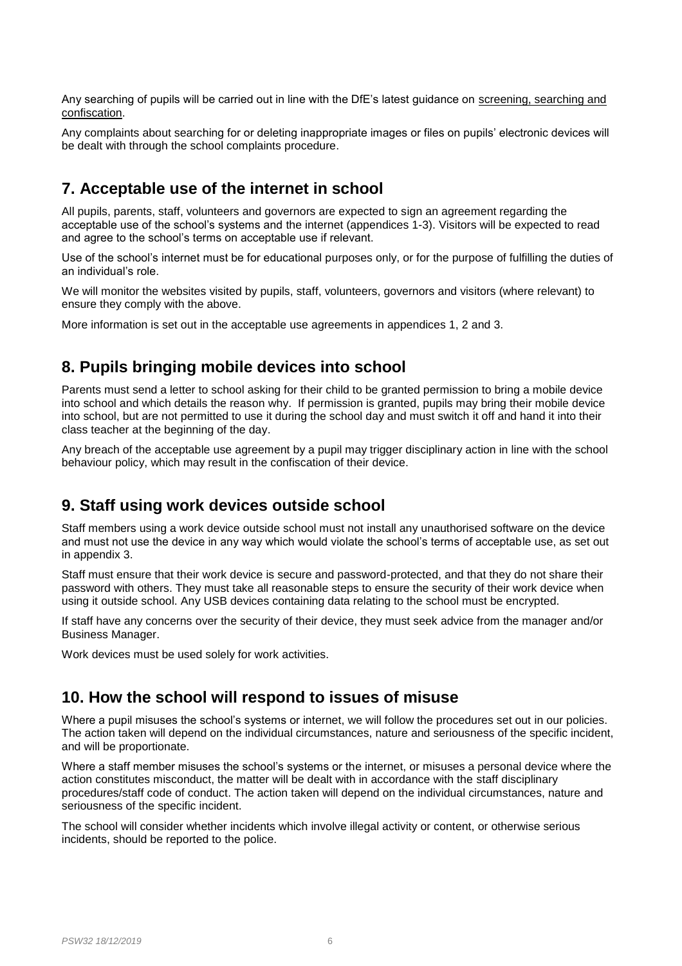Any searching of pupils will be carried out in line with the DfE's latest guidance on [screening, searching and](https://www.gov.uk/government/publications/searching-screening-and-confiscation)  [confiscation.](https://www.gov.uk/government/publications/searching-screening-and-confiscation)

Any complaints about searching for or deleting inappropriate images or files on pupils' electronic devices will be dealt with through the school complaints procedure.

## <span id="page-5-0"></span>**7. Acceptable use of the internet in school**

All pupils, parents, staff, volunteers and governors are expected to sign an agreement regarding the acceptable use of the school's systems and the internet (appendices 1-3). Visitors will be expected to read and agree to the school's terms on acceptable use if relevant.

Use of the school's internet must be for educational purposes only, or for the purpose of fulfilling the duties of an individual's role.

We will monitor the websites visited by pupils, staff, volunteers, governors and visitors (where relevant) to ensure they comply with the above.

More information is set out in the acceptable use agreements in appendices 1, 2 and 3.

## <span id="page-5-1"></span>**8. Pupils bringing mobile devices into school**

Parents must send a letter to school asking for their child to be granted permission to bring a mobile device into school and which details the reason why. If permission is granted, pupils may bring their mobile device into school, but are not permitted to use it during the school day and must switch it off and hand it into their class teacher at the beginning of the day.

Any breach of the acceptable use agreement by a pupil may trigger disciplinary action in line with the school behaviour policy, which may result in the confiscation of their device.

## <span id="page-5-2"></span>**9. Staff using work devices outside school**

Staff members using a work device outside school must not install any unauthorised software on the device and must not use the device in any way which would violate the school's terms of acceptable use, as set out in appendix 3.

Staff must ensure that their work device is secure and password-protected, and that they do not share their password with others. They must take all reasonable steps to ensure the security of their work device when using it outside school. Any USB devices containing data relating to the school must be encrypted.

If staff have any concerns over the security of their device, they must seek advice from the manager and/or Business Manager.

Work devices must be used solely for work activities.

## <span id="page-5-3"></span>**10. How the school will respond to issues of misuse**

Where a pupil misuses the school's systems or internet, we will follow the procedures set out in our policies. The action taken will depend on the individual circumstances, nature and seriousness of the specific incident, and will be proportionate.

Where a staff member misuses the school's systems or the internet, or misuses a personal device where the action constitutes misconduct, the matter will be dealt with in accordance with the staff disciplinary procedures/staff code of conduct. The action taken will depend on the individual circumstances, nature and seriousness of the specific incident.

The school will consider whether incidents which involve illegal activity or content, or otherwise serious incidents, should be reported to the police.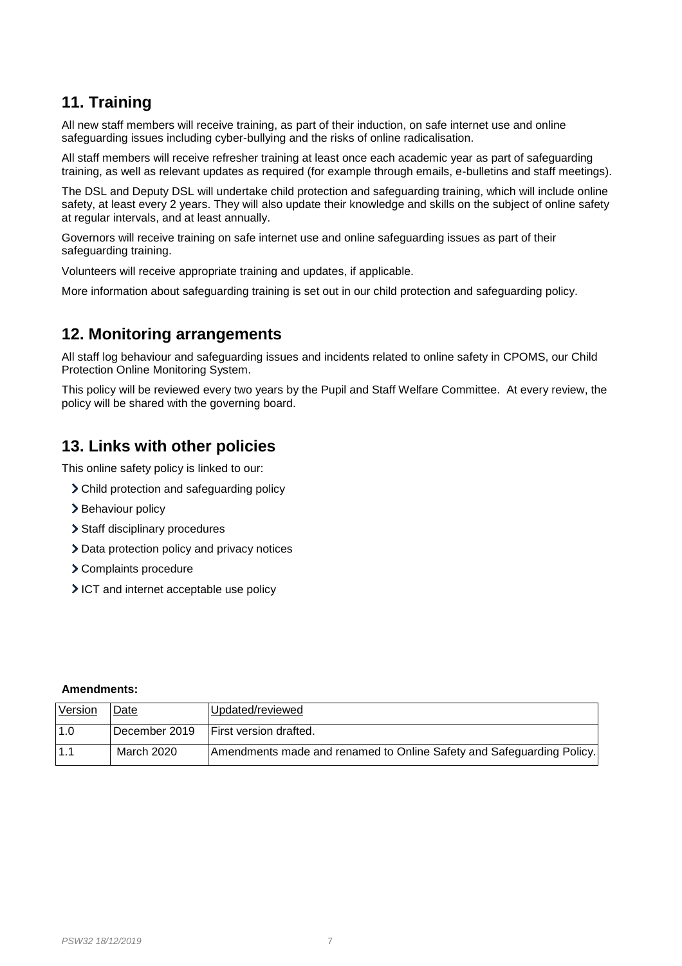# <span id="page-6-0"></span>**11. Training**

All new staff members will receive training, as part of their induction, on safe internet use and online safeguarding issues including cyber-bullying and the risks of online radicalisation.

All staff members will receive refresher training at least once each academic year as part of safeguarding training, as well as relevant updates as required (for example through emails, e-bulletins and staff meetings).

The DSL and Deputy DSL will undertake child protection and safeguarding training, which will include online safety, at least every 2 years. They will also update their knowledge and skills on the subject of online safety at regular intervals, and at least annually.

Governors will receive training on safe internet use and online safeguarding issues as part of their safeguarding training.

Volunteers will receive appropriate training and updates, if applicable.

More information about safeguarding training is set out in our child protection and safeguarding policy.

## <span id="page-6-1"></span>**12. Monitoring arrangements**

All staff log behaviour and safeguarding issues and incidents related to online safety in CPOMS, our Child Protection Online Monitoring System.

This policy will be reviewed every two years by the Pupil and Staff Welfare Committee. At every review, the policy will be shared with the governing board.

## <span id="page-6-2"></span>**13. Links with other policies**

This online safety policy is linked to our:

- Child protection and safeguarding policy
- > Behaviour policy
- > Staff disciplinary procedures
- > Data protection policy and privacy notices
- Complaints procedure
- ICT and internet acceptable use policy

#### **Amendments:**

<span id="page-6-3"></span>

| Version | Date          | Updated/reviewed                                                      |
|---------|---------------|-----------------------------------------------------------------------|
| 1.0     | December 2019 | <b>First version drafted.</b>                                         |
| 1.1     | March 2020    | Amendments made and renamed to Online Safety and Safeguarding Policy. |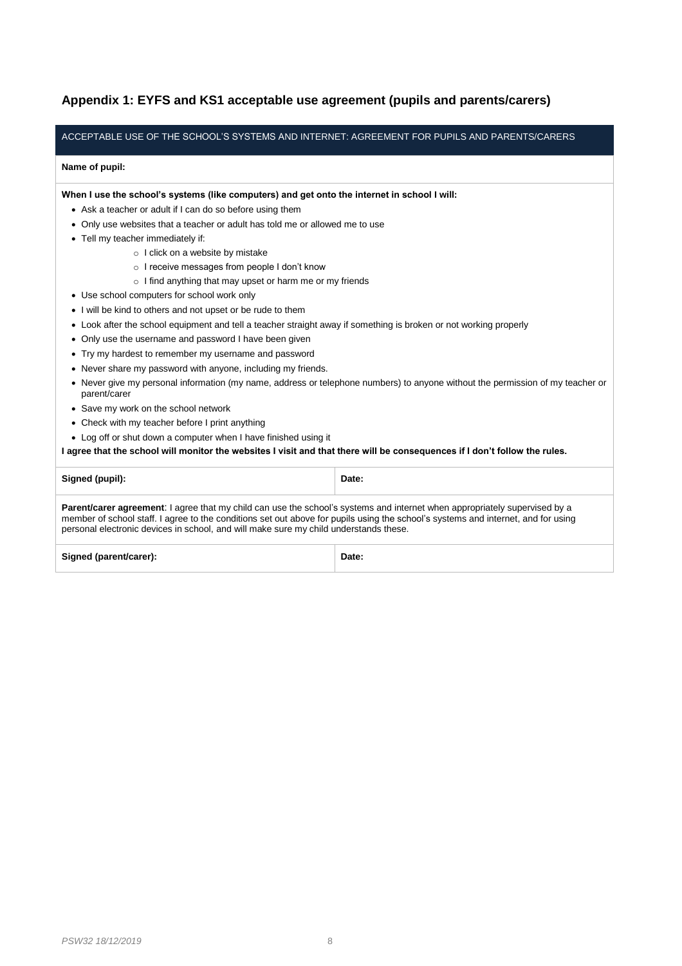### **Appendix 1: EYFS and KS1 acceptable use agreement (pupils and parents/carers)**

#### ACCEPTABLE USE OF THE SCHOOL'S SYSTEMS AND INTERNET: AGREEMENT FOR PUPILS AND PARENTS/CARERS

#### **Name of pupil:**

**When I use the school's systems (like computers) and get onto the internet in school I will:**

- Ask a teacher or adult if I can do so before using them
- Only use websites that a teacher or adult has told me or allowed me to use
- Tell my teacher immediately if:
	- o I click on a website by mistake
	- o I receive messages from people I don't know
	- o I find anything that may upset or harm me or my friends
- Use school computers for school work only
- I will be kind to others and not upset or be rude to them
- Look after the school equipment and tell a teacher straight away if something is broken or not working properly
- Only use the username and password I have been given
- Try my hardest to remember my username and password
- Never share my password with anyone, including my friends.
- Never give my personal information (my name, address or telephone numbers) to anyone without the permission of my teacher or parent/carer
- Save my work on the school network
- Check with my teacher before I print anything
- Log off or shut down a computer when I have finished using it

**I agree that the school will monitor the websites I visit and that there will be consequences if I don't follow the rules.**

| Signed (pupil):                                                                                                                                                                                                                                                                                                                                                 | Date: |  |
|-----------------------------------------------------------------------------------------------------------------------------------------------------------------------------------------------------------------------------------------------------------------------------------------------------------------------------------------------------------------|-------|--|
| <b>Parent/carer agreement:</b> I agree that my child can use the school's systems and internet when appropriately supervised by a<br>member of school staff. I agree to the conditions set out above for pupils using the school's systems and internet, and for using<br>personal electronic devices in school, and will make sure my child understands these. |       |  |
| Signed (parent/carer):                                                                                                                                                                                                                                                                                                                                          | Date: |  |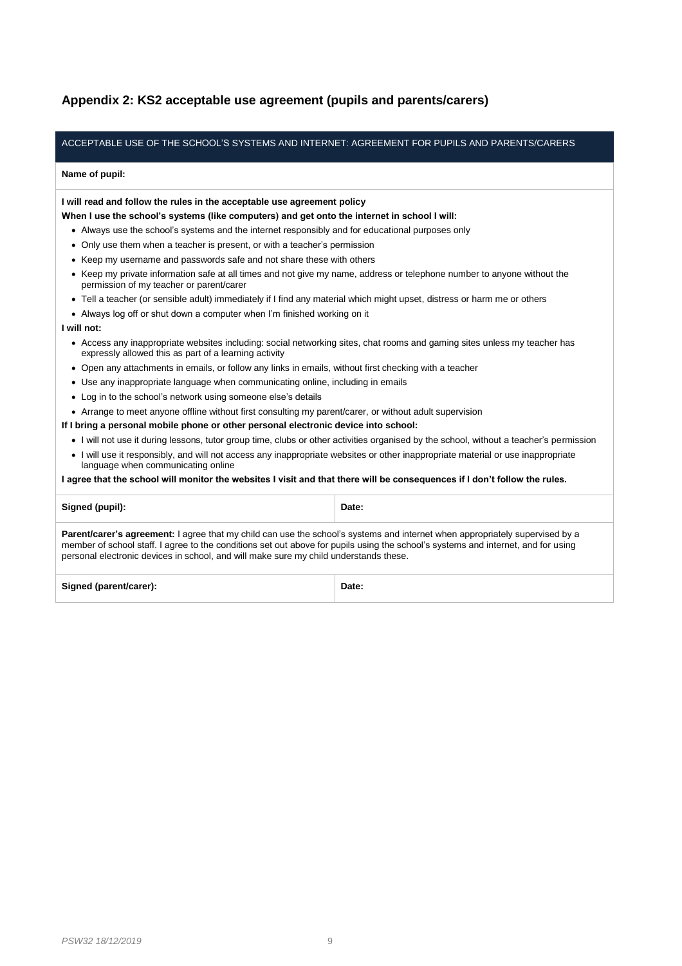### <span id="page-8-0"></span>**Appendix 2: KS2 acceptable use agreement (pupils and parents/carers)**

#### ACCEPTABLE USE OF THE SCHOOL'S SYSTEMS AND INTERNET: AGREEMENT FOR PUPILS AND PARENTS/CARERS

#### **Name of pupil:**

**I will read and follow the rules in the acceptable use agreement policy**

- **When I use the school's systems (like computers) and get onto the internet in school I will:**
	- Always use the school's systems and the internet responsibly and for educational purposes only
	- Only use them when a teacher is present, or with a teacher's permission
	- Keep my username and passwords safe and not share these with others
	- Keep my private information safe at all times and not give my name, address or telephone number to anyone without the permission of my teacher or parent/carer
	- Tell a teacher (or sensible adult) immediately if I find any material which might upset, distress or harm me or others
	- Always log off or shut down a computer when I'm finished working on it

#### **I will not:**

- Access any inappropriate websites including: social networking sites, chat rooms and gaming sites unless my teacher has expressly allowed this as part of a learning activity
- Open any attachments in emails, or follow any links in emails, without first checking with a teacher
- Use any inappropriate language when communicating online, including in emails
- Log in to the school's network using someone else's details
- Arrange to meet anyone offline without first consulting my parent/carer, or without adult supervision

**If I bring a personal mobile phone or other personal electronic device into school:**

- I will not use it during lessons, tutor group time, clubs or other activities organised by the school, without a teacher's permission
- I will use it responsibly, and will not access any inappropriate websites or other inappropriate material or use inappropriate language when communicating online

**I agree that the school will monitor the websites I visit and that there will be consequences if I don't follow the rules.**

**Signed (pupil): Date:**

**Parent/carer's agreement:** I agree that my child can use the school's systems and internet when appropriately supervised by a member of school staff. I agree to the conditions set out above for pupils using the school's systems and internet, and for using personal electronic devices in school, and will make sure my child understands these.

Signed (parent/carer): **Date: Date: Date: Date:**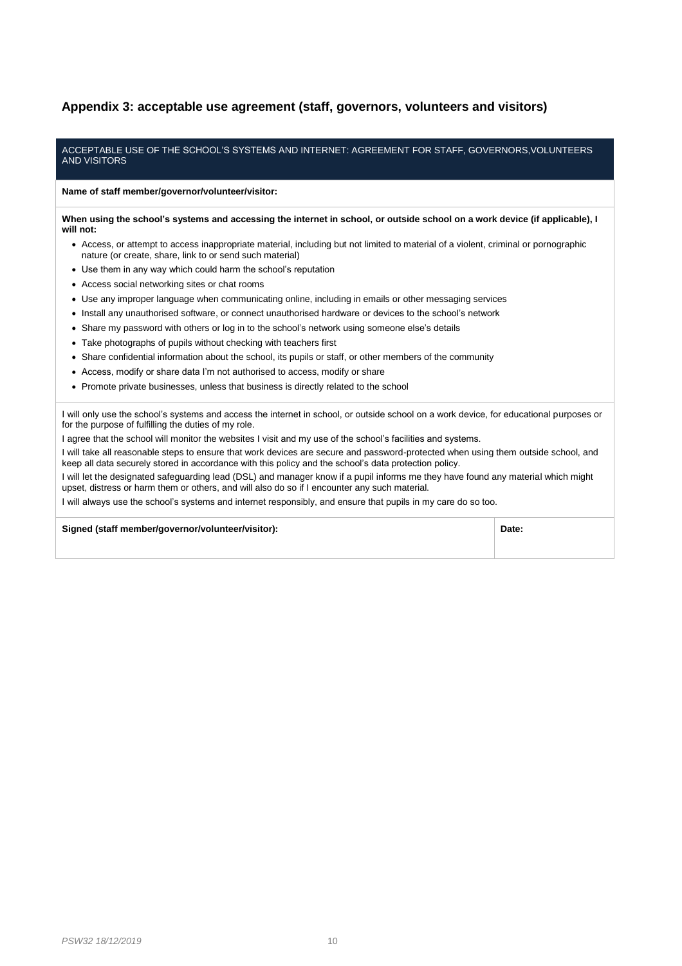#### <span id="page-9-0"></span>**Appendix 3: acceptable use agreement (staff, governors, volunteers and visitors)**

#### ACCEPTABLE USE OF THE SCHOOL'S SYSTEMS AND INTERNET: AGREEMENT FOR STAFF, GOVERNORS,VOLUNTEERS AND VISITORS

**Name of staff member/governor/volunteer/visitor:**

**When using the school's systems and accessing the internet in school, or outside school on a work device (if applicable), I will not:**

- Access, or attempt to access inappropriate material, including but not limited to material of a violent, criminal or pornographic nature (or create, share, link to or send such material)
- Use them in any way which could harm the school's reputation
- Access social networking sites or chat rooms
- Use any improper language when communicating online, including in emails or other messaging services
- Install any unauthorised software, or connect unauthorised hardware or devices to the school's network
- Share my password with others or log in to the school's network using someone else's details
- Take photographs of pupils without checking with teachers first
- Share confidential information about the school, its pupils or staff, or other members of the community
- Access, modify or share data I'm not authorised to access, modify or share
- Promote private businesses, unless that business is directly related to the school

I will only use the school's systems and access the internet in school, or outside school on a work device, for educational purposes or for the purpose of fulfilling the duties of my role.

I agree that the school will monitor the websites I visit and my use of the school's facilities and systems.

I will take all reasonable steps to ensure that work devices are secure and password-protected when using them outside school, and keep all data securely stored in accordance with this policy and the school's data protection policy.

I will let the designated safeguarding lead (DSL) and manager know if a pupil informs me they have found any material which might upset, distress or harm them or others, and will also do so if I encounter any such material.

I will always use the school's systems and internet responsibly, and ensure that pupils in my care do so too.

**Signed (staff member/governor/volunteer/visitor): Date:**